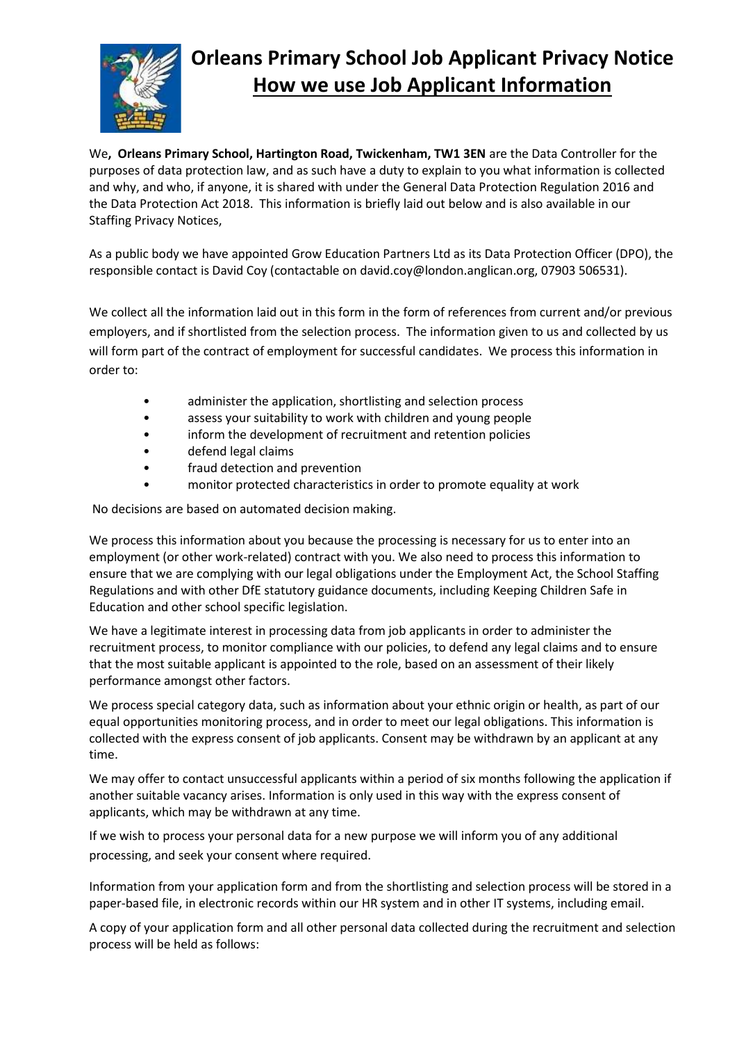

## **Orleans Primary School Job Applicant Privacy Notice How we use Job Applicant Information**

We**, Orleans Primary School, Hartington Road, Twickenham, TW1 3EN** are the Data Controller for the purposes of data protection law, and as such have a duty to explain to you what information is collected and why, and who, if anyone, it is shared with under the General Data Protection Regulation 2016 and the Data Protection Act 2018. This information is briefly laid out below and is also available in our Staffing Privacy Notices,

As a public body we have appointed Grow Education Partners Ltd as its Data Protection Officer (DPO), the responsible contact is David Coy (contactable on david.coy@london.anglican.org, 07903 506531).

We collect all the information laid out in this form in the form of references from current and/or previous employers, and if shortlisted from the selection process. The information given to us and collected by us will form part of the contract of employment for successful candidates. We process this information in order to:

- administer the application, shortlisting and selection process
- assess your suitability to work with children and young people
- inform the development of recruitment and retention policies
- defend legal claims
- fraud detection and prevention
- monitor protected characteristics in order to promote equality at work

No decisions are based on automated decision making.

We process this information about you because the processing is necessary for us to enter into an employment (or other work-related) contract with you. We also need to process this information to ensure that we are complying with our legal obligations under the Employment Act, the School Staffing Regulations and with other DfE statutory guidance documents, including Keeping Children Safe in Education and other school specific legislation.

We have a legitimate interest in processing data from job applicants in order to administer the recruitment process, to monitor compliance with our policies, to defend any legal claims and to ensure that the most suitable applicant is appointed to the role, based on an assessment of their likely performance amongst other factors.

We process special category data, such as information about your ethnic origin or health, as part of our equal opportunities monitoring process, and in order to meet our legal obligations. This information is collected with the express consent of job applicants. Consent may be withdrawn by an applicant at any time.

We may offer to contact unsuccessful applicants within a period of six months following the application if another suitable vacancy arises. Information is only used in this way with the express consent of applicants, which may be withdrawn at any time.

If we wish to process your personal data for a new purpose we will inform you of any additional processing, and seek your consent where required.

Information from your application form and from the shortlisting and selection process will be stored in a paper-based file, in electronic records within our HR system and in other IT systems, including email.

A copy of your application form and all other personal data collected during the recruitment and selection process will be held as follows: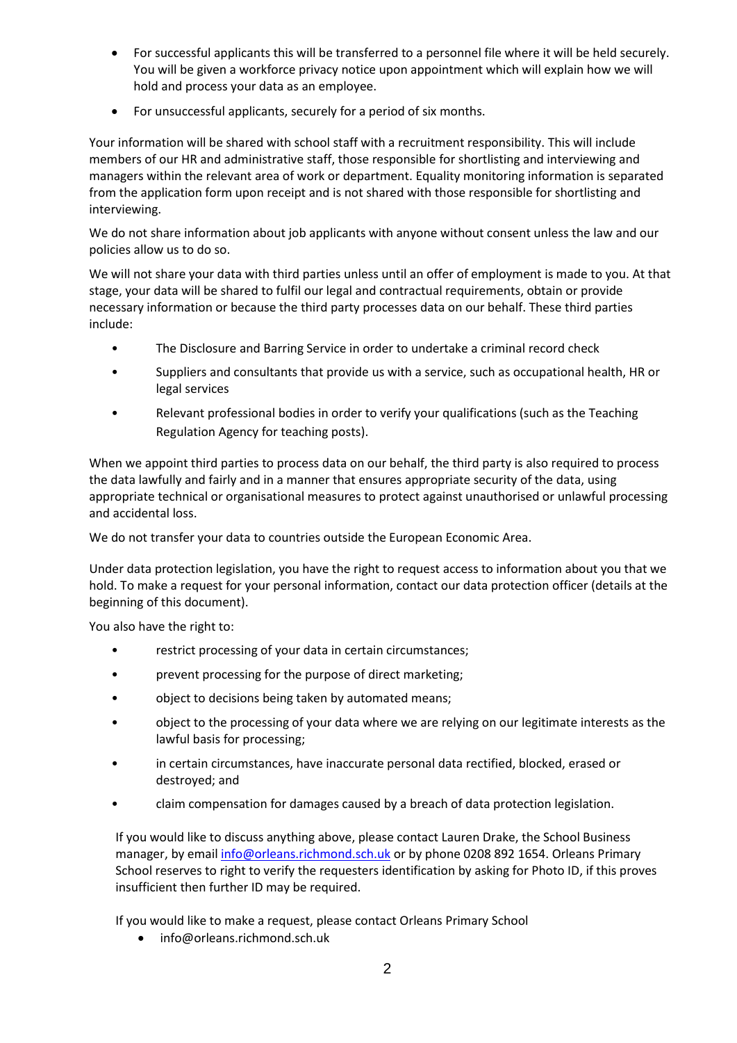- For successful applicants this will be transferred to a personnel file where it will be held securely. You will be given a workforce privacy notice upon appointment which will explain how we will hold and process your data as an employee.
- For unsuccessful applicants, securely for a period of six months.

Your information will be shared with school staff with a recruitment responsibility. This will include members of our HR and administrative staff, those responsible for shortlisting and interviewing and managers within the relevant area of work or department. Equality monitoring information is separated from the application form upon receipt and is not shared with those responsible for shortlisting and interviewing.

We do not share information about job applicants with anyone without consent unless the law and our policies allow us to do so.

We will not share your data with third parties unless until an offer of employment is made to you. At that stage, your data will be shared to fulfil our legal and contractual requirements, obtain or provide necessary information or because the third party processes data on our behalf. These third parties include:

- The Disclosure and Barring Service in order to undertake a criminal record check
- Suppliers and consultants that provide us with a service, such as occupational health, HR or legal services
- Relevant professional bodies in order to verify your qualifications (such as the Teaching Regulation Agency for teaching posts).

When we appoint third parties to process data on our behalf, the third party is also required to process the data lawfully and fairly and in a manner that ensures appropriate security of the data, using appropriate technical or organisational measures to protect against unauthorised or unlawful processing and accidental loss.

We do not transfer your data to countries outside the European Economic Area.

Under data protection legislation, you have the right to request access to information about you that we hold. To make a request for your personal information, contact our data protection officer (details at the beginning of this document).

You also have the right to:

- restrict processing of your data in certain circumstances;
- prevent processing for the purpose of direct marketing;
- object to decisions being taken by automated means;
- object to the processing of your data where we are relying on our legitimate interests as the lawful basis for processing;
- in certain circumstances, have inaccurate personal data rectified, blocked, erased or destroyed; and
- claim compensation for damages caused by a breach of data protection legislation.

If you would like to discuss anything above, please contact Lauren Drake, the School Business manager, by emai[l info@orleans.richmond.sch.uk](mailto:info@orleans.richmond.sch.uk) or by phone 0208 892 1654. Orleans Primary School reserves to right to verify the requesters identification by asking for Photo ID, if this proves insufficient then further ID may be required.

If you would like to make a request, please contact Orleans Primary School

• info@orleans.richmond.sch.uk